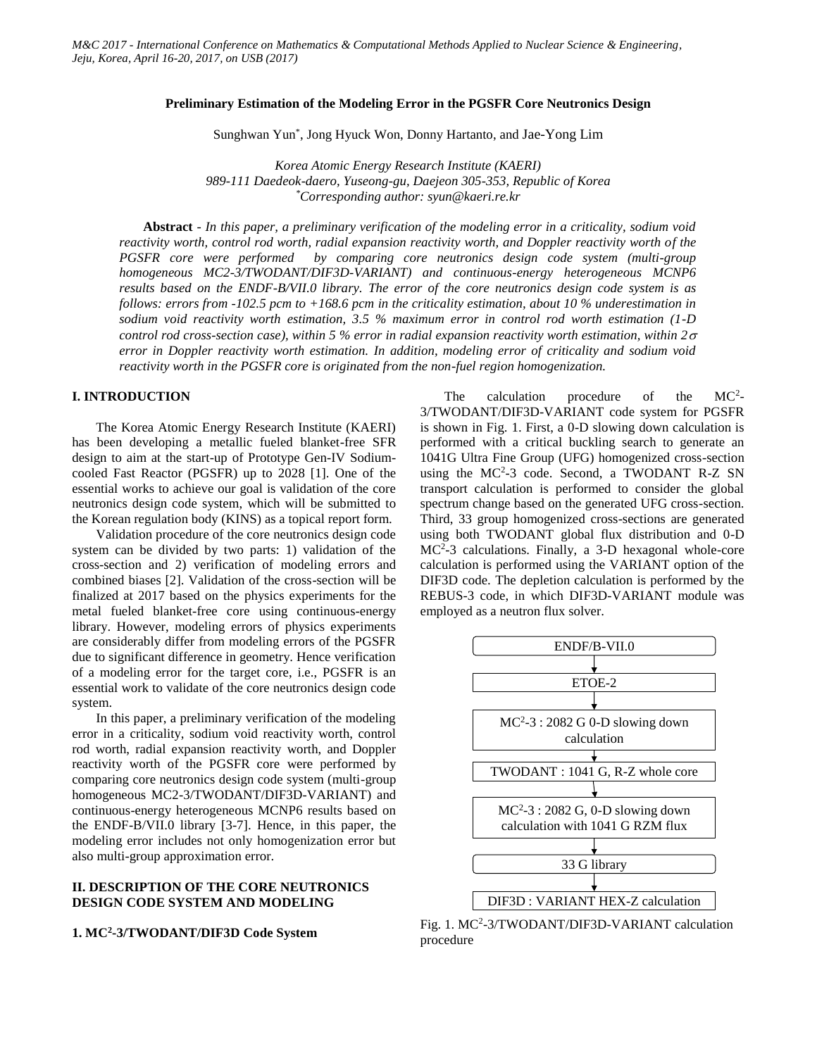#### **Preliminary Estimation of the Modeling Error in the PGSFR Core Neutronics Design**

Sunghwan Yun\* , Jong Hyuck Won, Donny Hartanto, and Jae-Yong Lim

*Korea Atomic Energy Research Institute (KAERI) 989-111 Daedeok-daero, Yuseong-gu, Daejeon 305-353, Republic of Korea \*Corresponding author: syun@kaeri.re.kr*

**Abstract** *- In this paper, a preliminary verification of the modeling error in a criticality, sodium void reactivity worth, control rod worth, radial expansion reactivity worth, and Doppler reactivity worth of the PGSFR core were performed by comparing core neutronics design code system (multi-group homogeneous MC2-3/TWODANT/DIF3D-VARIANT) and continuous-energy heterogeneous MCNP6 results based on the ENDF-B/VII.0 library. The error of the core neutronics design code system is as follows: errors from -102.5 pcm to +168.6 pcm in the criticality estimation, about 10 % underestimation in sodium void reactivity worth estimation, 3.5 % maximum error in control rod worth estimation (1-D control rod cross-section case), within 5 % error in radial expansion reactivity worth estimation, within*  $2\sigma$ *error in Doppler reactivity worth estimation. In addition, modeling error of criticality and sodium void reactivity worth in the PGSFR core is originated from the non-fuel region homogenization.* 

# **I. INTRODUCTION**

The Korea Atomic Energy Research Institute (KAERI) has been developing a metallic fueled blanket-free SFR design to aim at the start-up of Prototype Gen-IV Sodiumcooled Fast Reactor (PGSFR) up to 2028 [1]. One of the essential works to achieve our goal is validation of the core neutronics design code system, which will be submitted to the Korean regulation body (KINS) as a topical report form.

Validation procedure of the core neutronics design code system can be divided by two parts: 1) validation of the cross-section and 2) verification of modeling errors and combined biases [2]. Validation of the cross-section will be finalized at 2017 based on the physics experiments for the metal fueled blanket-free core using continuous-energy library. However, modeling errors of physics experiments are considerably differ from modeling errors of the PGSFR due to significant difference in geometry. Hence verification of a modeling error for the target core, i.e., PGSFR is an essential work to validate of the core neutronics design code system.

In this paper, a preliminary verification of the modeling error in a criticality, sodium void reactivity worth, control rod worth, radial expansion reactivity worth, and Doppler reactivity worth of the PGSFR core were performed by comparing core neutronics design code system (multi-group homogeneous MC2-3/TWODANT/DIF3D-VARIANT) and continuous-energy heterogeneous MCNP6 results based on the ENDF-B/VII.0 library [3-7]. Hence, in this paper, the modeling error includes not only homogenization error but also multi-group approximation error.

# **II. DESCRIPTION OF THE CORE NEUTRONICS DESIGN CODE SYSTEM AND MODELING**

### **1. MC<sup>2</sup> -3/TWODANT/DIF3D Code System**

The calculation procedure of the  $MC<sup>2</sup>$ -3/TWODANT/DIF3D-VARIANT code system for PGSFR is shown in Fig. 1. First, a 0-D slowing down calculation is performed with a critical buckling search to generate an 1041G Ultra Fine Group (UFG) homogenized cross-section using the MC<sup>2</sup>-3 code. Second, a TWODANT R-Z SN transport calculation is performed to consider the global spectrum change based on the generated UFG cross-section. Third, 33 group homogenized cross-sections are generated using both TWODANT global flux distribution and 0-D MC<sup>2</sup>-3 calculations. Finally, a 3-D hexagonal whole-core calculation is performed using the VARIANT option of the DIF3D code. The depletion calculation is performed by the REBUS-3 code, in which DIF3D-VARIANT module was employed as a neutron flux solver.



Fig. 1. MC<sup>2</sup>-3/TWODANT/DIF3D-VARIANT calculation procedure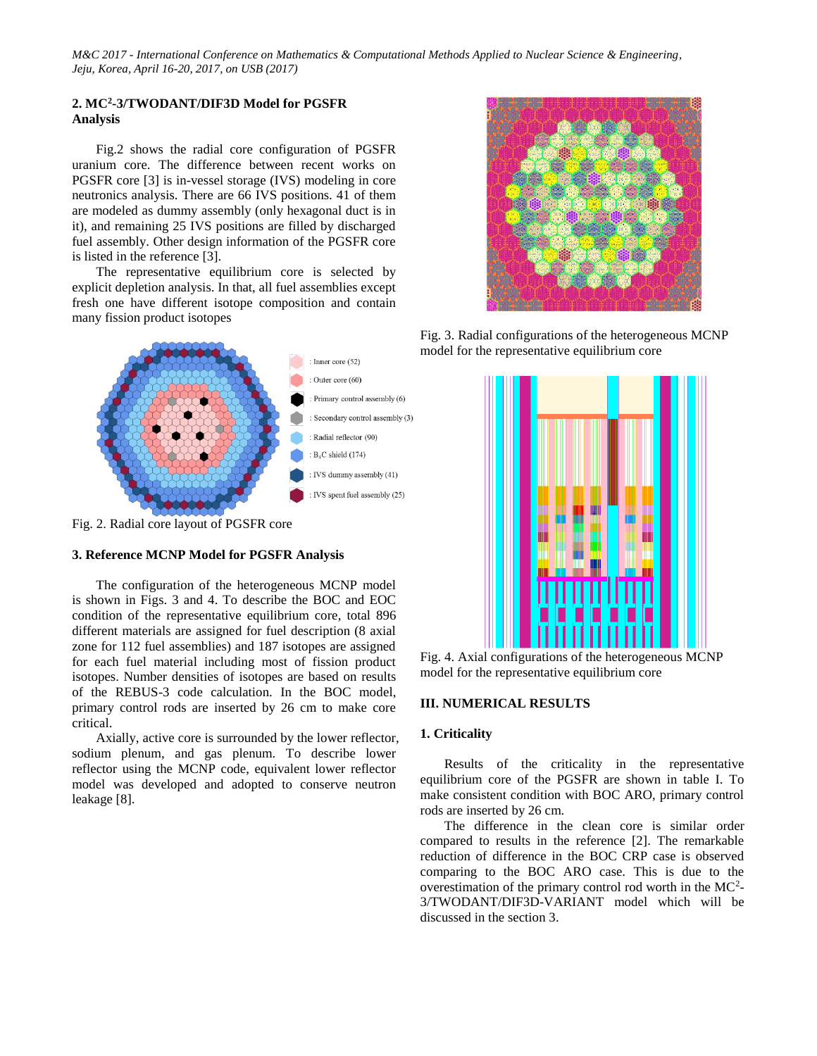# **2. MC<sup>2</sup> -3/TWODANT/DIF3D Model for PGSFR Analysis**

Fig.2 shows the radial core configuration of PGSFR uranium core. The difference between recent works on PGSFR core [3] is in-vessel storage (IVS) modeling in core neutronics analysis. There are 66 IVS positions. 41 of them are modeled as dummy assembly (only hexagonal duct is in it), and remaining 25 IVS positions are filled by discharged fuel assembly. Other design information of the PGSFR core is listed in the reference [3].

The representative equilibrium core is selected by explicit depletion analysis. In that, all fuel assemblies except fresh one have different isotope composition and contain many fission product isotopes



Fig. 2. Radial core layout of PGSFR core

# **3. Reference MCNP Model for PGSFR Analysis**

The configuration of the heterogeneous MCNP model is shown in Figs. 3 and 4. To describe the BOC and EOC condition of the representative equilibrium core, total 896 different materials are assigned for fuel description (8 axial zone for 112 fuel assemblies) and 187 isotopes are assigned for each fuel material including most of fission product isotopes. Number densities of isotopes are based on results of the REBUS-3 code calculation. In the BOC model, primary control rods are inserted by 26 cm to make core critical.

Axially, active core is surrounded by the lower reflector, sodium plenum, and gas plenum. To describe lower reflector using the MCNP code, equivalent lower reflector model was developed and adopted to conserve neutron leakage [8].



Fig. 3. Radial configurations of the heterogeneous MCNP model for the representative equilibrium core



Fig. 4. Axial configurations of the heterogeneous MCNP model for the representative equilibrium core

# **III. NUMERICAL RESULTS**

#### **1. Criticality**

Results of the criticality in the representative equilibrium core of the PGSFR are shown in table I. To make consistent condition with BOC ARO, primary control rods are inserted by 26 cm.

The difference in the clean core is similar order compared to results in the reference [2]. The remarkable reduction of difference in the BOC CRP case is observed comparing to the BOC ARO case. This is due to the overestimation of the primary control rod worth in the  $MC<sup>2</sup>$ -3/TWODANT/DIF3D-VARIANT model which will be discussed in the section 3.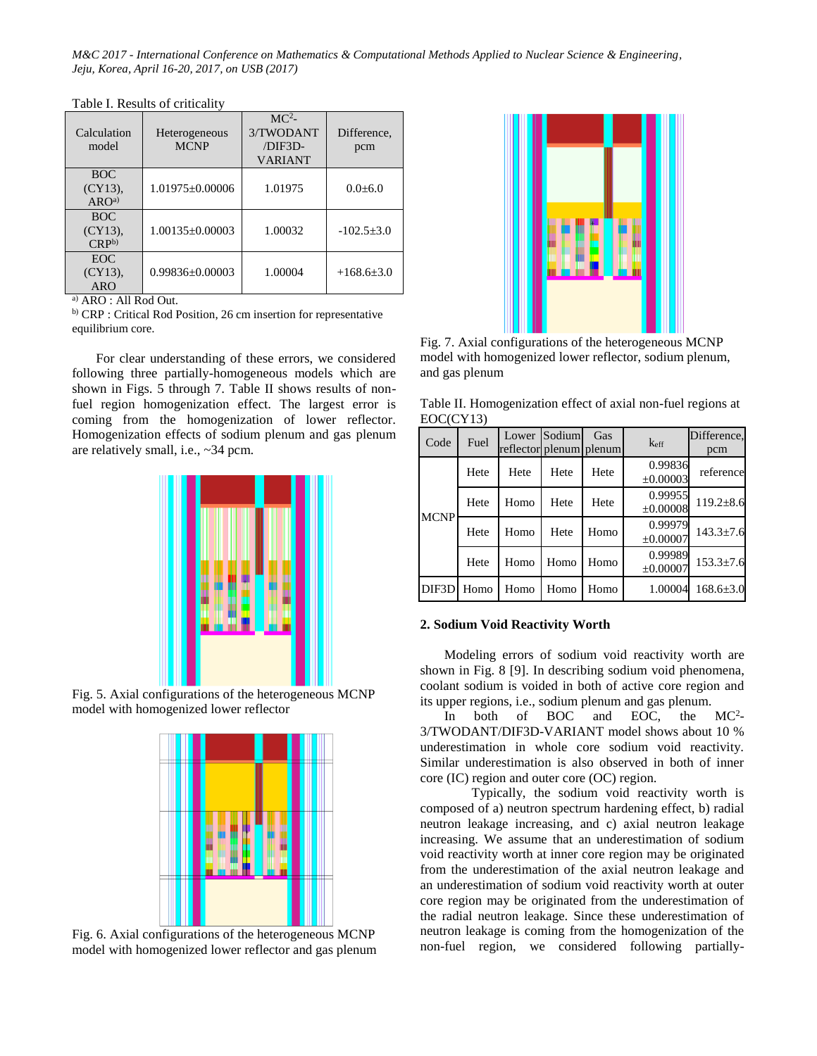| Calculation<br>model                         | Heterogeneous<br><b>MCNP</b> | MC <sup>2</sup><br>3/TWODANT<br>/DIF3D-<br><b>VARIANT</b> | Difference,<br>pcm |
|----------------------------------------------|------------------------------|-----------------------------------------------------------|--------------------|
| <b>BOC</b><br>$(CY13)$ ,<br>ARO <sup>a</sup> | $1.01975 \pm 0.00006$        | 1.01975                                                   | $0.0 + 6.0$        |
| <b>BOC</b><br>$(CY13)$ ,<br>$CRP^{b}$        | $1.00135 \pm 0.00003$        | 1.00032                                                   | $-102.5+3.0$       |
| EOC.<br>$(CY13)$ ,<br><b>ARO</b>             | $0.99836 \pm 0.00003$        | 1.00004                                                   | $+168.6+3.0$       |

Table I. Results of criticality

a) ARO : All Rod Out.

b) CRP : Critical Rod Position, 26 cm insertion for representative equilibrium core.

For clear understanding of these errors, we considered following three partially-homogeneous models which are shown in Figs. 5 through 7. Table II shows results of nonfuel region homogenization effect. The largest error is coming from the homogenization of lower reflector. Homogenization effects of sodium plenum and gas plenum are relatively small, i.e., ~34 pcm.



Fig. 5. Axial configurations of the heterogeneous MCNP model with homogenized lower reflector



Fig. 6. Axial configurations of the heterogeneous MCNP model with homogenized lower reflector and gas plenum



Fig. 7. Axial configurations of the heterogeneous MCNP model with homogenized lower reflector, sodium plenum, and gas plenum

Table II. Homogenization effect of axial non-fuel regions at EOC(CY13)

| Code               | Fuel | reflector plenum plenum | Lower Sodium | Gas  | k <sub>eff</sub>    | Difference,<br>pcm |
|--------------------|------|-------------------------|--------------|------|---------------------|--------------------|
|                    | Hete | Hete                    | Hete         | Hete | 0.99836<br>±0.00003 | reference          |
| <b>MCNP</b>        | Hete | Homo                    | Hete         | Hete | 0.99955<br>±0.00008 | $119.2 \pm 8.6$    |
|                    | Hete | Homo                    | Hete         | Homo | 0.99979<br>±0.00007 | $143.3 \pm 7.6$    |
|                    | Hete | Homo                    | Homo         | Homo | 0.99989<br>±0.00007 | $153.3 \pm 7.6$    |
| DIF <sub>3</sub> D | Homo | Homo                    | Homo         | Homo | 1.00004             | $168.6{\pm}3.0$    |

### **2. Sodium Void Reactivity Worth**

Modeling errors of sodium void reactivity worth are shown in Fig. 8 [9]. In describing sodium void phenomena, coolant sodium is voided in both of active core region and its upper regions, i.e., sodium plenum and gas plenum.

In both of BOC and EOC, the  $MC<sup>2</sup>$ -3/TWODANT/DIF3D-VARIANT model shows about 10 % underestimation in whole core sodium void reactivity. Similar underestimation is also observed in both of inner core (IC) region and outer core (OC) region.

Typically, the sodium void reactivity worth is composed of a) neutron spectrum hardening effect, b) radial neutron leakage increasing, and c) axial neutron leakage increasing. We assume that an underestimation of sodium void reactivity worth at inner core region may be originated from the underestimation of the axial neutron leakage and an underestimation of sodium void reactivity worth at outer core region may be originated from the underestimation of the radial neutron leakage. Since these underestimation of neutron leakage is coming from the homogenization of the non-fuel region, we considered following partially-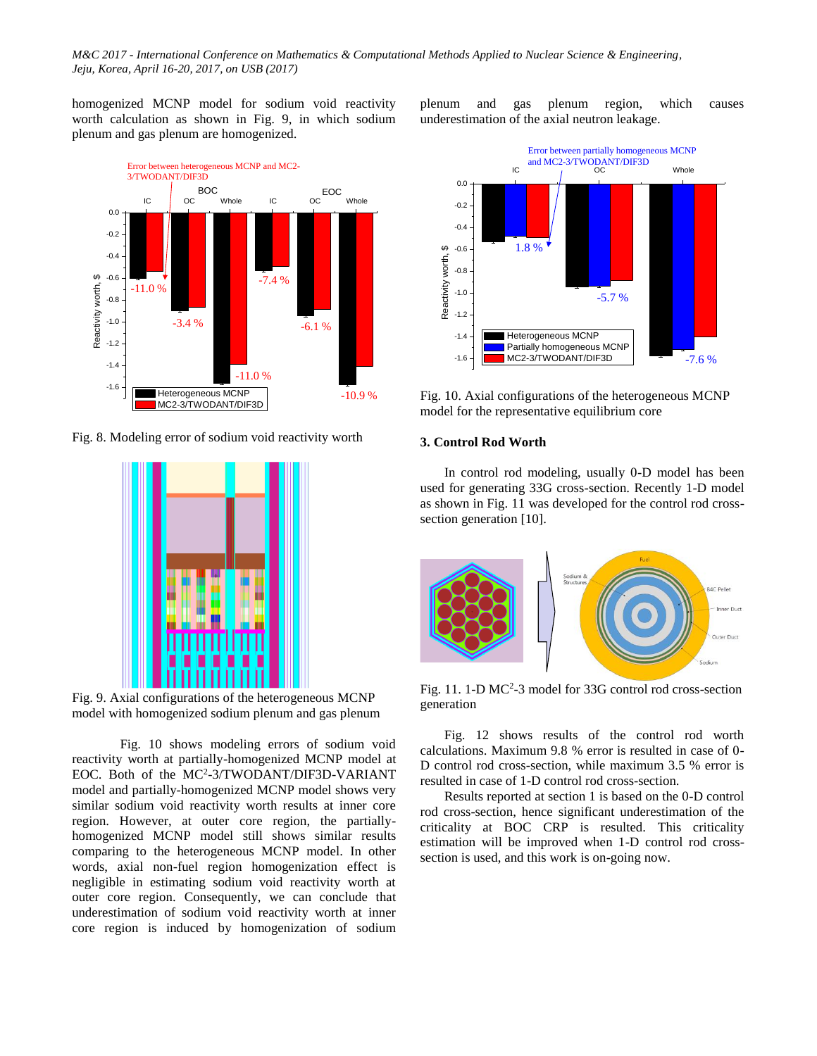homogenized MCNP model for sodium void reactivity worth calculation as shown in Fig. 9, in which sodium plenum and gas plenum are homogenized.



Fig. 8. Modeling error of sodium void reactivity worth



Fig. 9. Axial configurations of the heterogeneous MCNP model with homogenized sodium plenum and gas plenum

Fig. 10 shows modeling errors of sodium void reactivity worth at partially-homogenized MCNP model at EOC. Both of the MC<sup>2</sup>-3/TWODANT/DIF3D-VARIANT model and partially-homogenized MCNP model shows very similar sodium void reactivity worth results at inner core region. However, at outer core region, the partiallyhomogenized MCNP model still shows similar results comparing to the heterogeneous MCNP model. In other words, axial non-fuel region homogenization effect is negligible in estimating sodium void reactivity worth at outer core region. Consequently, we can conclude that underestimation of sodium void reactivity worth at inner core region is induced by homogenization of sodium

plenum and gas plenum region, which causes underestimation of the axial neutron leakage.



Fig. 10. Axial configurations of the heterogeneous MCNP model for the representative equilibrium core

#### **3. Control Rod Worth**

In control rod modeling, usually 0-D model has been used for generating 33G cross-section. Recently 1-D model as shown in Fig. 11 was developed for the control rod crosssection generation [10].



Fig. 11. 1-D MC<sup>2</sup>-3 model for 33G control rod cross-section generation

Fig. 12 shows results of the control rod worth calculations. Maximum 9.8 % error is resulted in case of 0- D control rod cross-section, while maximum 3.5 % error is resulted in case of 1-D control rod cross-section.

Results reported at section 1 is based on the 0-D control rod cross-section, hence significant underestimation of the criticality at BOC CRP is resulted. This criticality estimation will be improved when 1-D control rod crosssection is used, and this work is on-going now.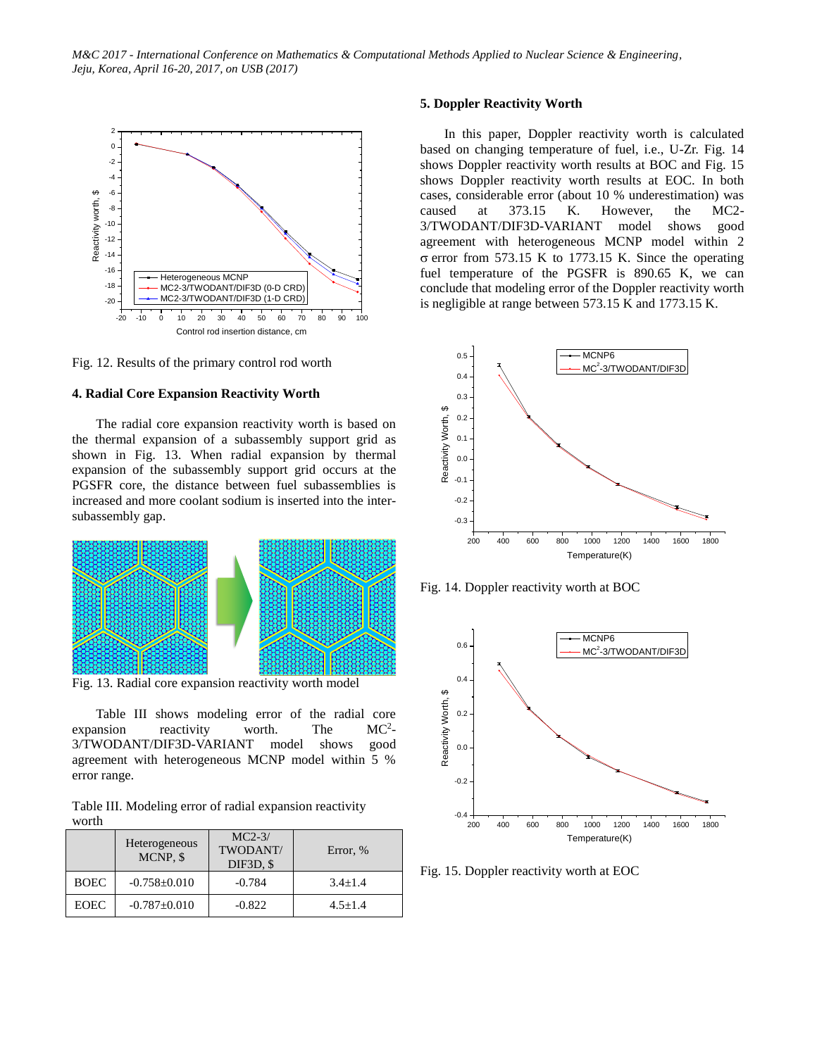

Fig. 12. Results of the primary control rod worth

#### **4. Radial Core Expansion Reactivity Worth**

The radial core expansion reactivity worth is based on the thermal expansion of a subassembly support grid as shown in Fig. 13. When radial expansion by thermal expansion of the subassembly support grid occurs at the PGSFR core, the distance between fuel subassemblies is increased and more coolant sodium is inserted into the intersubassembly gap.



Fig. 13. Radial core expansion reactivity worth model

Table III shows modeling error of the radial core expansion reactivity worth. The  $MC<sup>2</sup>$ 3/TWODANT/DIF3D-VARIANT model shows good agreement with heterogeneous MCNP model within 5 % error range.

Table III. Modeling error of radial expansion reactivity worth

|             | Heterogeneous<br>MCNP, \$ | $MC2-3/$<br>TWODANT/<br>DIF3D, \$ | Error, %    |
|-------------|---------------------------|-----------------------------------|-------------|
| <b>BOEC</b> | $-0.758 \pm 0.010$        | $-0.784$                          | $3.4 + 1.4$ |
| <b>EOEC</b> | $-0.787 \pm 0.010$        | $-0.822$                          | $4.5 + 1.4$ |

# **5. Doppler Reactivity Worth**

In this paper, Doppler reactivity worth is calculated based on changing temperature of fuel, i.e., U-Zr. Fig. 14 shows Doppler reactivity worth results at BOC and Fig. 15 shows Doppler reactivity worth results at EOC. In both cases, considerable error (about 10 % underestimation) was caused at 373.15 K. However, the MC2- 3/TWODANT/DIF3D-VARIANT model shows good agreement with heterogeneous MCNP model within 2  $\sigma$  error from 573.15 K to 1773.15 K. Since the operating fuel temperature of the PGSFR is 890.65 K, we can conclude that modeling error of the Doppler reactivity worth is negligible at range between 573.15 K and 1773.15 K.



Fig. 14. Doppler reactivity worth at BOC



Fig. 15. Doppler reactivity worth at EOC